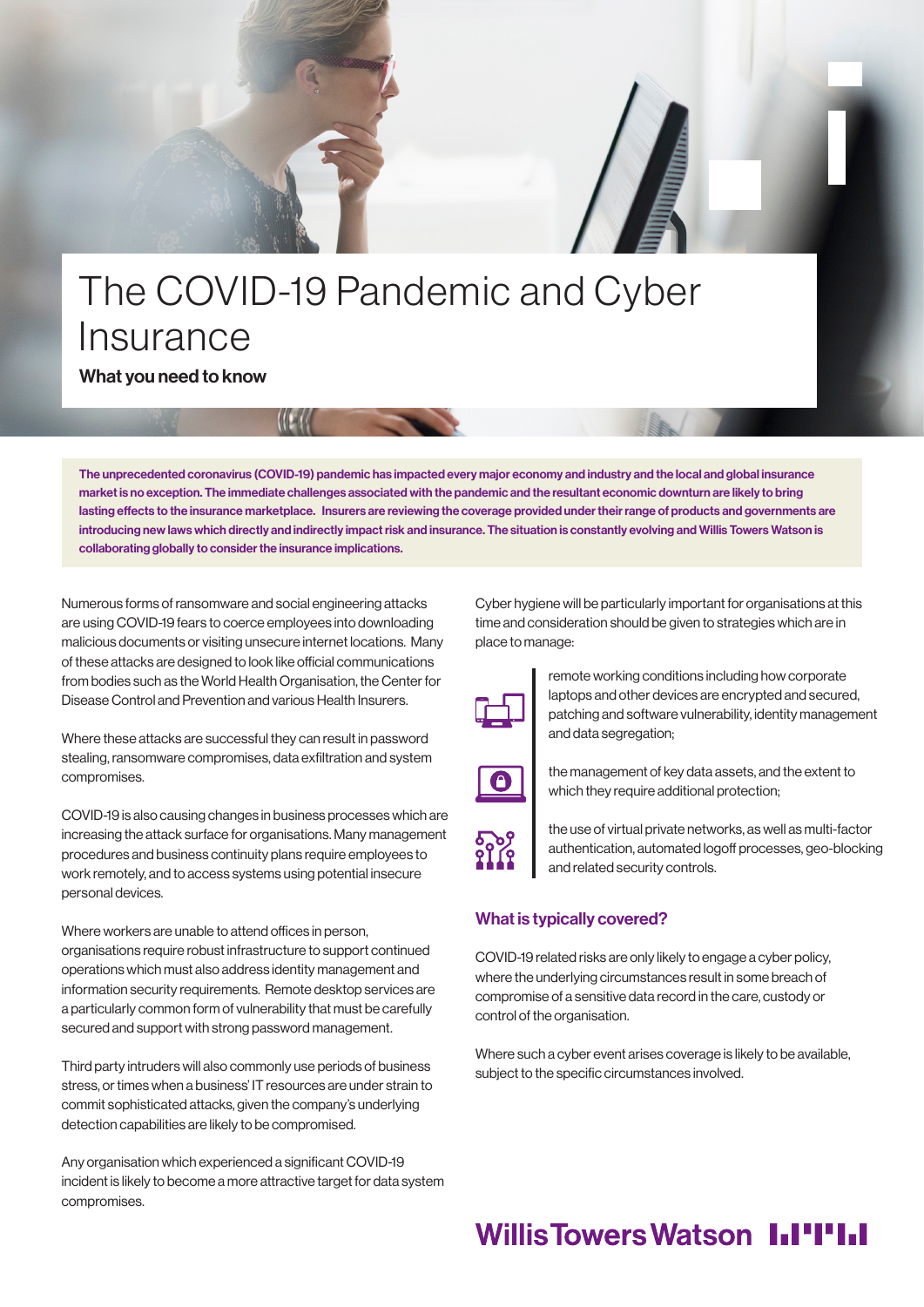# The COVID-19 Pandemic and Cyber Insurance

What you need to know

The unprecedented coronavirus (COVID-19) pandemic has impacted every major economy and industry and the local and global insurance market is no exception. The immediate challenges associated with the pandemic and the resultant economic downturn are likely to bring lasting effects to the insurance marketplace. Insurers are reviewing the coverage provided under their range of products and governments are introducing new laws which directly and indirectly impact risk and insurance. The situation is constantly evolving and Willis Towers Watson is collaborating globally to consider the insurance implications.

Numerous forms of ransomware and social engineering attacks are using COVID-19 fears to coerce employees into downloading malicious documents or visiting unsecure internet locations. Many of these attacks are designed to look like official communications from bodies such as the World Health Organisation, the Center for Disease Control and Prevention and various Health Insurers.

**KEM** 

Where these attacks are successful they can result in password stealing, ransomware compromises, data exfiltration and system compromises.

COVID-19 is also causing changes in business processes which are increasing the attack surface for organisations. Many management procedures and business continuity plans require employees to work remotely, and to access systems using potential insecure personal devices.

Where workers are unable to attend offices in person, organisations require robust infrastructure to support continued operations which must also address identity management and information security requirements. Remote desktop services are a particularly common form of vulnerability that must be carefully secured and support with strong password management.

Third party intruders will also commonly use periods of business stress, or times when a business' IT resources are under strain to commit sophisticated attacks, given the company's underlying detection capabilities are likely to be compromised.

Any organisation which experienced a significant COVID-19 incident is likely to become a more attractive target for data system compromises.

Cyber hygiene will be particularly important for organisations at this time and consideration should be given to strategies which are in place to manage:



remote working conditions including how corporate laptops and other devices are encrypted and secured, patching and software vulnerability, identity management and data segregation;



the management of key data assets, and the extent to which they require additional protection;



the use of virtual private networks, as well as multi-factor authentication, automated logoff processes, geo-blocking and related security controls.

### What is typically covered?

COVID-19 related risks are only likely to engage a cyber policy, where the underlying circumstances result in some breach of compromise of a sensitive data record in the care, custody or control of the organisation.

Where such a cyber event arises coverage is likely to be available, subject to the specific circumstances involved.

## **Willis Towers Watson I.I'I'I.I**